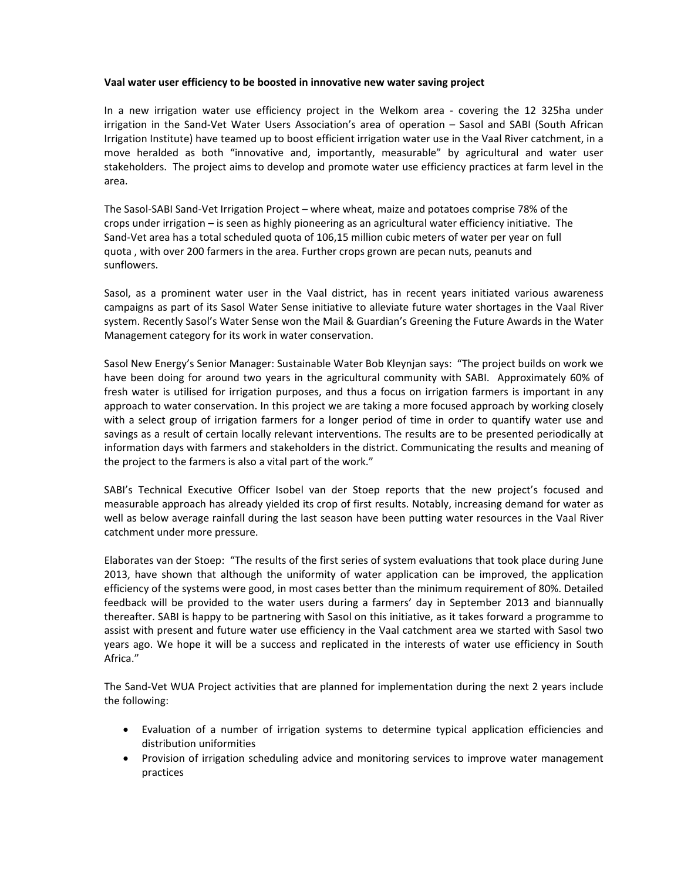## **Vaal water user efficiency to be boosted in innovative new water saving project**

In a new irrigation water use efficiency project in the Welkom area - covering the 12 325ha under irrigation in the Sand‐Vet Water Users Association's area of operation – Sasol and SABI (South African Irrigation Institute) have teamed up to boost efficient irrigation water use in the Vaal River catchment, in a move heralded as both "innovative and, importantly, measurable" by agricultural and water user stakeholders. The project aims to develop and promote water use efficiency practices at farm level in the area.

The Sasol‐SABI Sand‐Vet Irrigation Project – where wheat, maize and potatoes comprise 78% of the crops under irrigation – is seen as highly pioneering as an agricultural water efficiency initiative. The Sand‐Vet area has a total scheduled quota of 106,15 million cubic meters of water per year on full quota , with over 200 farmers in the area. Further crops grown are pecan nuts, peanuts and sunflowers.

Sasol, as a prominent water user in the Vaal district, has in recent years initiated various awareness campaigns as part of its Sasol Water Sense initiative to alleviate future water shortages in the Vaal River system. Recently Sasol's Water Sense won the Mail & Guardian's Greening the Future Awards in the Water Management category for its work in water conservation.

Sasol New Energy's Senior Manager: Sustainable Water Bob Kleynjan says: "The project builds on work we have been doing for around two years in the agricultural community with SABI. Approximately 60% of fresh water is utilised for irrigation purposes, and thus a focus on irrigation farmers is important in any approach to water conservation. In this project we are taking a more focused approach by working closely with a select group of irrigation farmers for a longer period of time in order to quantify water use and savings as a result of certain locally relevant interventions. The results are to be presented periodically at information days with farmers and stakeholders in the district. Communicating the results and meaning of the project to the farmers is also a vital part of the work."

SABI's Technical Executive Officer Isobel van der Stoep reports that the new project's focused and measurable approach has already yielded its crop of first results. Notably, increasing demand for water as well as below average rainfall during the last season have been putting water resources in the Vaal River catchment under more pressure.

Elaborates van der Stoep: "The results of the first series of system evaluations that took place during June 2013, have shown that although the uniformity of water application can be improved, the application efficiency of the systems were good, in most cases better than the minimum requirement of 80%. Detailed feedback will be provided to the water users during a farmers' day in September 2013 and biannually thereafter. SABI is happy to be partnering with Sasol on this initiative, as it takes forward a programme to assist with present and future water use efficiency in the Vaal catchment area we started with Sasol two years ago. We hope it will be a success and replicated in the interests of water use efficiency in South Africa."

The Sand‐Vet WUA Project activities that are planned for implementation during the next 2 years include the following:

- Evaluation of a number of irrigation systems to determine typical application efficiencies and distribution uniformities
- Provision of irrigation scheduling advice and monitoring services to improve water management practices